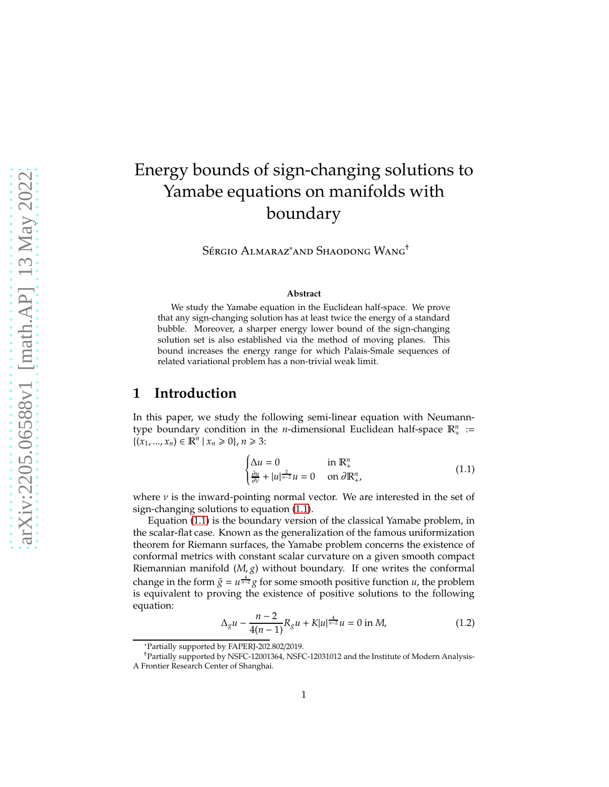# Energy bounds of sign-changing solutions to Yamabe equations on manifolds with boundary

Sérgio Almaraz<sup>\*</sup>and Shaodong Wang<sup>†</sup>

#### **Abstract**

We study the Yamabe equation in the Euclidean half-space. We prove that any sign-changing solution has at least twice the energy of a standard bubble. Moreover, a sharper energy lower bound of the sign-changing solution set is also established via the method of moving planes. This bound increases the energy range for which Palais-Smale sequences of related variational problem has a non-trivial weak limit.

### **1 Introduction**

In this paper, we study the following semi-linear equation with Neumanntype boundary condition in the *n*-dimensional Euclidean half-space  $\mathbb{R}^n_+$  :=  ${(x<sub>1</sub>, ..., x<sub>n</sub>) ∈ ℝ<sup>n</sup> | x<sub>n</sub> ≥ 0}, n ≥ 3:$ 

<span id="page-0-0"></span>
$$
\begin{cases} \Delta u = 0 & \text{in } \mathbb{R}^n_+ \\ \frac{\partial u}{\partial v} + |u|^{\frac{2}{n-2}} u = 0 & \text{on } \partial \mathbb{R}^n_+, \end{cases}
$$
 (1.1)

where  $\nu$  is the inward-pointing normal vector. We are interested in the set of sign-changing solutions to equation [\(1.1\)](#page-0-0).

Equation [\(1.1\)](#page-0-0) is the boundary version of the classical Yamabe problem, in the scalar-flat case. Known as the generalization of the famous uniformization theorem for Riemann surfaces, the Yamabe problem concerns the existence of conformal metrics with constant scalar curvature on a given smooth compact Riemannian manifold (*M*, *g*) without boundary. If one writes the conformal change in the form  $\tilde{g} = u^{\frac{4}{n-2}}g$  for some smooth positive function *u*, the problem is equivalent to proving the existence of positive solutions to the following equation:

<span id="page-0-1"></span>
$$
\Delta_g u - \frac{n-2}{4(n-1)} R_g u + K|u|^{\frac{4}{n-2}} u = 0 \text{ in } M,
$$
\n(1.2)

<sup>\*</sup>Partially supported by FAPERJ-202.802/2019.

<sup>†</sup>Partially supported by NSFC-12001364, NSFC-12031012 and the Institute of Modern Analysis-A Frontier Research Center of Shanghai.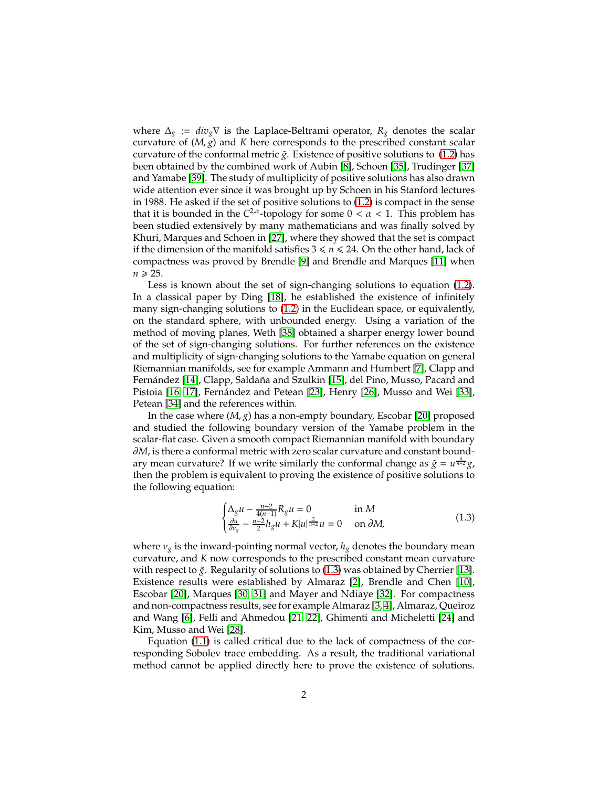where  $\Delta_g := div_g \nabla$  is the Laplace-Beltrami operator,  $R_g$  denotes the scalar curvature of (*M*, *g*) and *K* here corresponds to the prescribed constant scalar curvature of the conformal metric  $\tilde{g}$ . Existence of positive solutions to [\(1.2\)](#page-0-1) has been obtained by the combined work of Aubin [\[8\]](#page-12-0), Schoen [\[35\]](#page-14-0), Trudinger [\[37\]](#page-14-1) and Yamabe [\[39\]](#page-15-0). The study of multiplicity of positive solutions has also drawn wide attention ever since it was brought up by Schoen in his Stanford lectures in 1988. He asked if the set of positive solutions to [\(1.2\)](#page-0-1) is compact in the sense that it is bounded in the  $C^{2,\alpha}$ -topology for some  $0 < \alpha < 1$ . This problem has been studied extensively by many mathematicians and was finally solved by Khuri, Marques and Schoen in [\[27\]](#page-14-2), where they showed that the set is compact if the dimension of the manifold satisfies  $3 \le n \le 24$ . On the other hand, lack of compactness was proved by Brendle [\[9\]](#page-13-0) and Brendle and Marques [\[11\]](#page-13-1) when  $n \geqslant 25$ .

Less is known about the set of sign-changing solutions to equation [\(1.2\)](#page-0-1). In a classical paper by Ding [\[18\]](#page-13-2), he established the existence of infinitely many sign-changing solutions to [\(1.2\)](#page-0-1) in the Euclidean space, or equivalently, on the standard sphere, with unbounded energy. Using a variation of the method of moving planes, Weth [\[38\]](#page-15-1) obtained a sharper energy lower bound of the set of sign-changing solutions. For further references on the existence and multiplicity of sign-changing solutions to the Yamabe equation on general Riemannian manifolds, see for example Ammann and Humbert [\[7\]](#page-12-1), Clapp and Fernández [\[14\]](#page-13-3), Clapp, Saldaña and Szulkin [\[15\]](#page-13-4), del Pino, Musso, Pacard and Pistoia [\[16,](#page-13-5) [17\]](#page-13-6), Fernández and Petean [\[23\]](#page-14-3), Henry [\[26\]](#page-14-4), Musso and Wei [\[33\]](#page-14-5), Petean [\[34\]](#page-14-6) and the references within.

In the case where (*M*, *g*) has a non-empty boundary, Escobar [\[20\]](#page-13-7) proposed and studied the following boundary version of the Yamabe problem in the scalar-flat case. Given a smooth compact Riemannian manifold with boundary ∂*M*, is there a conformal metric with zero scalar curvature and constant boundary mean curvature? If we write similarly the conformal change as  $\tilde{g} = u^{\frac{4}{n-2}}g$ , then the problem is equivalent to proving the existence of positive solutions to the following equation:

<span id="page-1-0"></span>
$$
\begin{cases} \Delta_g u - \frac{n-2}{4(n-1)} R_g u = 0 & \text{in } M \\ \frac{\partial u}{\partial v_g} - \frac{n-2}{2} h_g u + K |u|^{\frac{2}{n-2}} u = 0 & \text{on } \partial M, \end{cases}
$$
(1.3)

where  $v_g$  is the inward-pointing normal vector,  $h_g$  denotes the boundary mean curvature, and *K* now corresponds to the prescribed constant mean curvature with respect to  $\tilde{g}$ . Regularity of solutions to [\(1.3\)](#page-1-0) was obtained by Cherrier [\[13\]](#page-13-8). Existence results were established by Almaraz [\[2\]](#page-12-2), Brendle and Chen [\[10\]](#page-13-9), Escobar [\[20\]](#page-13-7), Marques [\[30,](#page-14-7) [31\]](#page-14-8) and Mayer and Ndiaye [\[32\]](#page-14-9). For compactness and non-compactness results, see for example Almaraz [\[3,](#page-12-3) [4\]](#page-12-4), Almaraz, Queiroz and Wang [\[6\]](#page-12-5), Felli and Ahmedou [\[21,](#page-13-10) [22\]](#page-13-11), Ghimenti and Micheletti [\[24\]](#page-14-10) and Kim, Musso and Wei [\[28\]](#page-14-11).

Equation [\(1.1\)](#page-0-0) is called critical due to the lack of compactness of the corresponding Sobolev trace embedding. As a result, the traditional variational method cannot be applied directly here to prove the existence of solutions.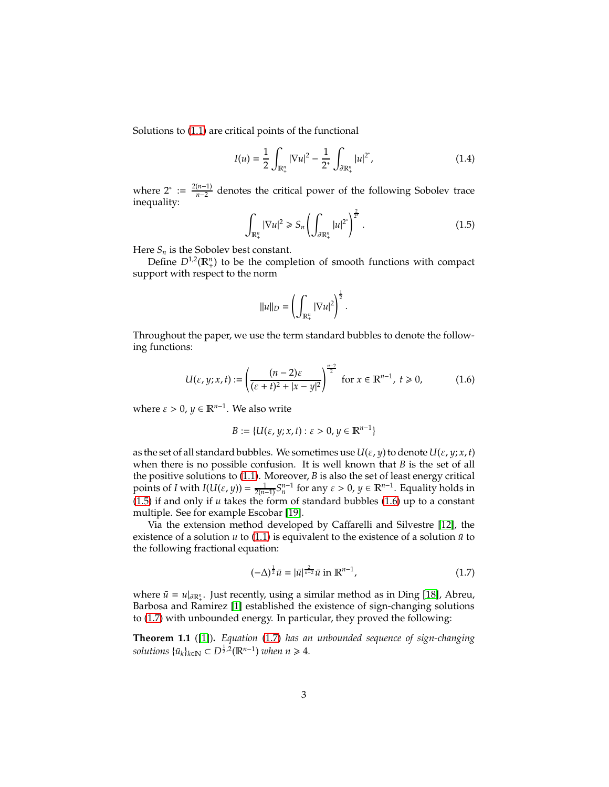Solutions to [\(1.1\)](#page-0-0) are critical points of the functional

<span id="page-2-4"></span>
$$
I(u) = \frac{1}{2} \int_{\mathbb{R}^n_+} |\nabla u|^2 - \frac{1}{2^*} \int_{\partial \mathbb{R}^n_+} |u|^{2^*}, \tag{1.4}
$$

where  $2^* := \frac{2(n-1)}{n-2}$  $\frac{n-1}{n-2}$  denotes the critical power of the following Sobolev trace inequality:

<span id="page-2-0"></span>
$$
\int_{\mathbb{R}^n_+} |\nabla u|^2 \ge S_n \left( \int_{\partial \mathbb{R}^n_+} |u|^{2^*} \right)^{\frac{2}{2^*}}.
$$
\n(1.5)

Here  $S_n$  is the Sobolev best constant.

Define  $D^{1,2}(\mathbb{R}^n_+)$  to be the completion of smooth functions with compact support with respect to the norm

$$
||u||_{D} = \left(\int_{\mathbb{R}^n_+} |\nabla u|^2\right)^{\frac{1}{2}}.
$$

Throughout the paper, we use the term standard bubbles to denote the following functions:

<span id="page-2-1"></span>
$$
U(\varepsilon, y; x, t) := \left(\frac{(n-2)\varepsilon}{(\varepsilon + t)^2 + |x - y|^2}\right)^{\frac{n-2}{2}} \text{ for } x \in \mathbb{R}^{n-1}, t \ge 0,
$$
 (1.6)

where  $\varepsilon > 0$ ,  $y \in \mathbb{R}^{n-1}$ . We also write

$$
B := \{U(\varepsilon, y; x, t) : \varepsilon > 0, y \in \mathbb{R}^{n-1}\}\
$$

as the set of all standard bubbles. We sometimes use  $U(\varepsilon, y)$  to denote  $U(\varepsilon, y; x, t)$ when there is no possible confusion. It is well known that *B* is the set of all the positive solutions to [\(1.1\)](#page-0-0). Moreover, *B* is also the set of least energy critical points of *I* with  $I(U(\varepsilon, y)) = \frac{1}{2(n-1)} S_n^{n-1}$  for any  $\varepsilon > 0$ ,  $y \in \mathbb{R}^{n-1}$ . Equality holds in [\(1.5\)](#page-2-0) if and only if *u* takes the form of standard bubbles [\(1.6\)](#page-2-1) up to a constant multiple. See for example Escobar [\[19\]](#page-13-12).

Via the extension method developed by Caffarelli and Silvestre [\[12\]](#page-13-13), the existence of a solution  $u$  to [\(1.1\)](#page-0-0) is equivalent to the existence of a solution  $\bar{u}$  to the following fractional equation:

<span id="page-2-2"></span>
$$
(-\Delta)^{\frac{1}{2}}\bar{u} = |\bar{u}|^{\frac{2}{n-2}}\bar{u} \text{ in } \mathbb{R}^{n-1},\tag{1.7}
$$

where  $\bar{u} = u|_{\partial \mathbb{R}^n_+}$ . Just recently, using a similar method as in Ding [\[18\]](#page-13-2), Abreu, Barbosa and Ramirez [\[1\]](#page-12-6) established the existence of sign-changing solutions to [\(1.7\)](#page-2-2) with unbounded energy. In particular, they proved the following:

<span id="page-2-3"></span>**Theorem 1.1** ([\[1\]](#page-12-6))**.** *Equation* [\(1.7\)](#page-2-2) *has an unbounded sequence of sign-changing*  $solutions \{\bar{u}_k\}_{k \in \mathbb{N}} \subset D^{\frac{1}{2},2}(\mathbb{R}^{n-1})$  *when*  $n \geq 4$ *.*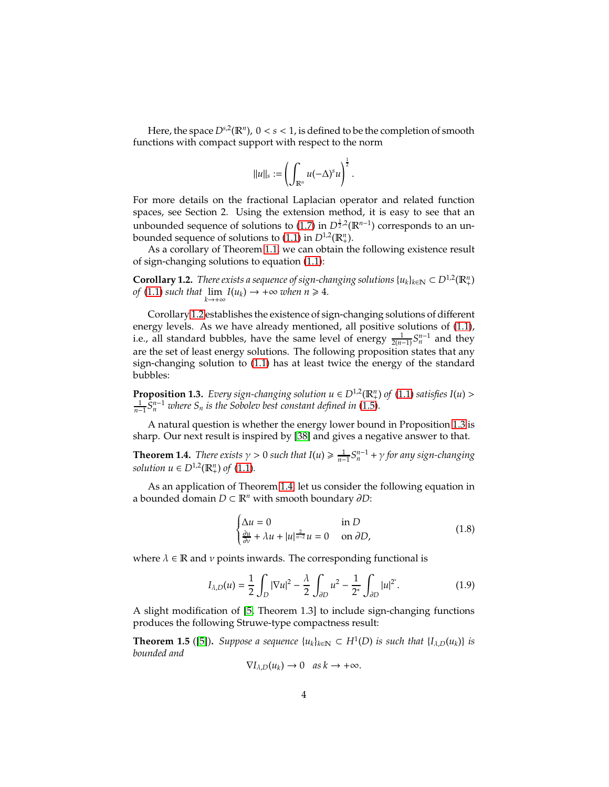Here, the space  $D^{s,2}(\mathbb{R}^n)$ ,  $0 < s < 1$ , is defined to be the completion of smooth functions with compact support with respect to the norm

$$
||u||_s := \left(\int_{\mathbb{R}^n} u(-\Delta)^s u\right)^{\frac{1}{2}}.
$$

For more details on the fractional Laplacian operator and related function spaces, see Section 2. Using the extension method, it is easy to see that an unbounded sequence of solutions to [\(1.7\)](#page-2-2) in  $D^{\frac{1}{2},2}(\mathbb{R}^{n-1})$  corresponds to an unbounded sequence of solutions to  $(1.1)$  in  $D^{1,2}(\mathbb{R}^n_+)$ .

As a corollary of Theorem [1.1,](#page-2-3) we can obtain the following existence result of sign-changing solutions to equation [\(1.1\)](#page-0-0):

<span id="page-3-0"></span>**Corollary 1.2.** *There exists a sequence of sign-changing solutions*  $\{u_k\}_{k \in \mathbb{N}} \subset D^{1,2}(\mathbb{R}^n_+)$ *of*  $(1.1)$  *such that*  $\lim_{k \to +\infty} I(u_k) \to +\infty$  *when*  $n \geq 4$ *.* 

Corollary [1.2](#page-3-0) establishes the existence of sign-changing solutions of different energy levels. As we have already mentioned, all positive solutions of [\(1.1\)](#page-0-0), i.e., all standard bubbles, have the same level of energy  $\frac{1}{2(n-1)}S_n^{n-1}$  and they are the set of least energy solutions. The following proposition states that any sign-changing solution to [\(1.1\)](#page-0-0) has at least twice the energy of the standard bubbles:

<span id="page-3-1"></span>**Proposition 1.3.** *Every sign-changing solution*  $u \in D^{1,2}(\mathbb{R}^n_+)$  *of* [\(1.1\)](#page-0-0) *satisfies*  $I(u)$  >  $\frac{1}{n-1}S_n^{n-1}$  where  $S_n$  is the Sobolev best constant defined in [\(1.5\)](#page-2-0).

A natural question is whether the energy lower bound in Proposition [1.3](#page-3-1) is sharp. Our next result is inspired by [\[38\]](#page-15-1) and gives a negative answer to that.

<span id="page-3-2"></span>**Theorem 1.4.** *There exists*  $\gamma > 0$  *such that*  $I(u) \ge \frac{1}{n-1} S_n^{n-1} + \gamma$  for any sign-changing *solution*  $u \in D^{1,2}(\mathbb{R}^n_+)$  of [\(1.1\)](#page-0-0)*.* 

As an application of Theorem [1.4,](#page-3-2) let us consider the following equation in a bounded domain *D* ⊂ R*<sup>n</sup>* with smooth boundary ∂*D*:

<span id="page-3-3"></span>
$$
\begin{cases} \Delta u = 0 & \text{in } D\\ \frac{\partial u}{\partial v} + \lambda u + |u|^{\frac{2}{n-2}}u = 0 & \text{on } \partial D, \end{cases}
$$
 (1.8)

where  $\lambda \in \mathbb{R}$  and  $\nu$  points inwards. The corresponding functional is

$$
I_{\lambda,D}(u) = \frac{1}{2} \int_D |\nabla u|^2 - \frac{\lambda}{2} \int_{\partial D} u^2 - \frac{1}{2^*} \int_{\partial D} |u|^{2^*}.
$$
 (1.9)

A slight modification of [\[5,](#page-12-7) Theorem 1.3] to include sign-changing functions produces the following Struwe-type compactness result:

<span id="page-3-4"></span>**Theorem 1.5** ([\[5\]](#page-12-7)). *Suppose a sequence*  $\{u_k\}_{k\in\mathbb{N}} \subset H^1(D)$  *is such that*  $\{I_{\lambda,D}(u_k)\}$  *is bounded and*

$$
\nabla I_{\lambda,D}(u_k) \to 0 \quad \text{as } k \to +\infty.
$$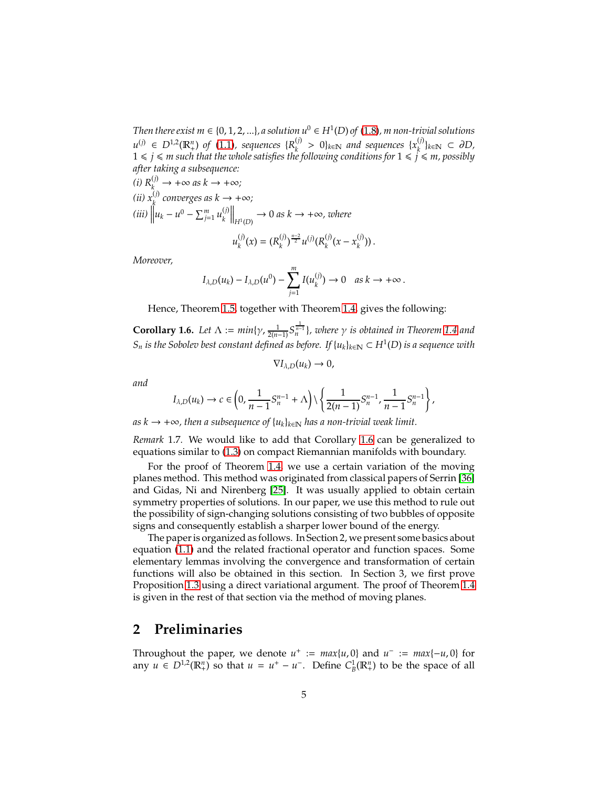*Then there exist m*  $\in$  {0, 1, 2, ...}, *a solution u*<sup>0</sup>  $\in$  *H*<sup>1</sup>(D) *of* [\(1.8\)](#page-3-3), *m non-trivial solutions u*<sup>(*j*)</sup> ∈ *D*<sup>1,2</sup>( $\mathbb{R}^n_+$ ) *of* [\(1.1\)](#page-0-0)*, sequences* { $R_k^{(j)}$  $\mathbb{R}^{(j)}$  > 0} $_{k \in \mathbb{N}}$  and sequences  $\{x_k^{(j)}\}$ *k* }*k*∈<sup>N</sup> ⊂ ∂*D,*  $1 \leqslant j \leqslant m$  such that the whole satisfies the following conditions for  $1 \leqslant \widetilde{j} \leqslant m$ , possibly *after taking a subsequence:*

 $\chi^{(i)}(i) R_k^{(j)} \to +\infty$  as  $k \to +\infty$ ; *(ii)*  $x_k^{(j)}$  converges as  $k \to +\infty$ ;  $(iii)$   $\|u_k - u^0 - \sum_{j=1}^m u_k^{(j)}\|$  $\left\| \frac{f^{(j)}}{h^{(j)}(D)} \right\|_{H^1(D)} \to 0$  as  $k \to +\infty$ , where *n*−2

$$
u_k^{(j)}(x) = (R_k^{(j)})^{\frac{n-2}{2}} u^{(j)}(R_k^{(j)}(x - x_k^{(j)})) .
$$

*Moreover,*

$$
I_{\lambda,D}(u_k) - I_{\lambda,D}(u^0) - \sum_{j=1}^m I(u_k^{(j)}) \to 0 \quad \text{as } k \to +\infty.
$$

Hence, Theorem [1.5,](#page-3-4) together with Theorem [1.4,](#page-3-2) gives the following:

<span id="page-4-0"></span>**Corollary 1.6.** Let  $\Lambda := min\{\gamma, \frac{1}{2(n-1)}S_n^{\frac{1}{n-1}}\}$ , where  $\gamma$  is obtained in Theorem [1.4](#page-3-2) and  $S_n$  *is the Sobolev best constant defined as before. If*  $\{u_k\}_{k\in\mathbb{N}}\subset H^1(D)$  *is a sequence with* 

$$
\nabla I_{\lambda,D}(u_k)\to 0,
$$

*and*

$$
I_{\lambda,D}(u_k) \to c \in \left(0, \frac{1}{n-1} S_n^{n-1} + \Lambda\right) \setminus \left\{\frac{1}{2(n-1)} S_n^{n-1}, \frac{1}{n-1} S_n^{n-1}\right\},\,
$$

*as k* → +∞, then a subsequence of  $\{u_k\}_{k\in\mathbb{N}}$  has a non-trivial weak limit.

*Remark* 1.7*.* We would like to add that Corollary [1.6](#page-4-0) can be generalized to equations similar to [\(1.3\)](#page-1-0) on compact Riemannian manifolds with boundary.

For the proof of Theorem [1.4,](#page-3-2) we use a certain variation of the moving planes method. This method was originated from classical papers of Serrin [\[36\]](#page-14-12) and Gidas, Ni and Nirenberg [\[25\]](#page-14-13). It was usually applied to obtain certain symmetry properties of solutions. In our paper, we use this method to rule out the possibility of sign-changing solutions consisting of two bubbles of opposite signs and consequently establish a sharper lower bound of the energy.

The paper is organized as follows. In Section 2, we present some basics about equation [\(1.1\)](#page-0-0) and the related fractional operator and function spaces. Some elementary lemmas involving the convergence and transformation of certain functions will also be obtained in this section. In Section 3, we first prove Proposition [1.3](#page-3-1) using a direct variational argument. The proof of Theorem [1.4](#page-3-2) is given in the rest of that section via the method of moving planes.

#### **2 Preliminaries**

Throughout the paper, we denote  $u^+ := max\{u, 0\}$  and  $u^- := max\{-u, 0\}$  for any  $u \in D^{1,2}(\mathbb{R}^n_+)$  so that  $u = u^+ - u^-$ . Define  $C^1_B(\mathbb{R}^n_+)$  to be the space of all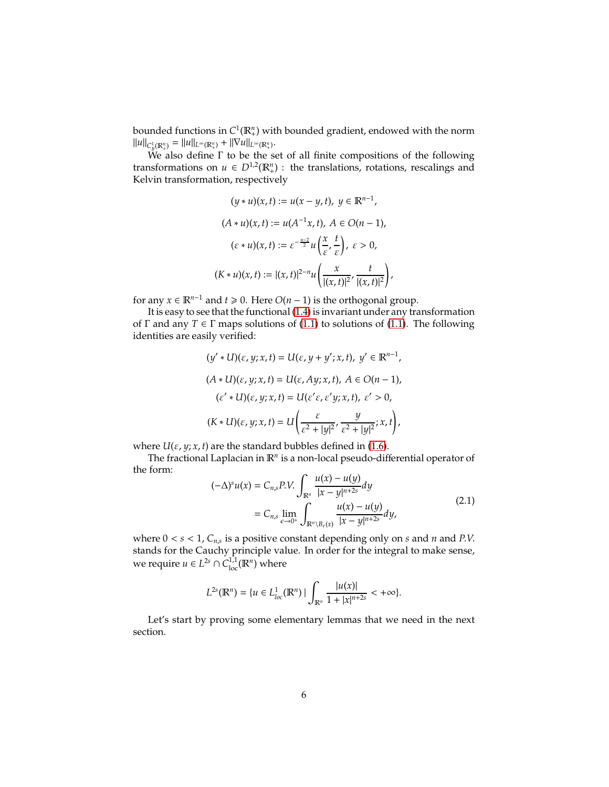bounded functions in *C* 1 (R*<sup>n</sup>* + ) with bounded gradient, endowed with the norm  $||u||_{C_{B}^{1}(\mathbb{R}_{+}^{n})} = ||u||_{L^{\infty}(\mathbb{R}_{+}^{n})} + ||\nabla u||_{L^{\infty}(\mathbb{R}_{+}^{n})}$ .

We also define  $\Gamma$  to be the set of all finite compositions of the following transformations on  $u \in D^{1,2}(\mathbb{R}^n_+)$ : the translations, rotations, rescalings and Kelvin transformation, respectively

$$
(y * u)(x, t) := u(x - y, t), y \in \mathbb{R}^{n-1},
$$
  
\n
$$
(A * u)(x, t) := u(A^{-1}x, t), A \in O(n - 1),
$$
  
\n
$$
(\varepsilon * u)(x, t) := \varepsilon^{-\frac{n-2}{2}} u\left(\frac{x}{\varepsilon}, \frac{t}{\varepsilon}\right), \varepsilon > 0,
$$
  
\n
$$
(K * u)(x, t) := |(x, t)|^{2-n} u\left(\frac{x}{|(x, t)|^2}, \frac{t}{|(x, t)|^2}\right)
$$

for any *x* ∈  $\mathbb{R}^{n-1}$  and *t* ≥ 0. Here *O*(*n* − 1) is the orthogonal group.

It is easy to see that the functional [\(1.4\)](#page-2-4) is invariant under any transformation of  $\Gamma$  and any  $T \in \Gamma$  maps solutions of [\(1.1\)](#page-0-0) to solutions of [\(1.1\)](#page-0-0). The following identities are easily verified:

$$
(y' * U)(\varepsilon, y; x, t) = U(\varepsilon, y + y'; x, t), y' \in \mathbb{R}^{n-1},
$$
  
\n
$$
(A * U)(\varepsilon, y; x, t) = U(\varepsilon, Ay; x, t), A \in O(n - 1),
$$
  
\n
$$
(\varepsilon' * U)(\varepsilon, y; x, t) = U(\varepsilon' \varepsilon, \varepsilon' y; x, t), \varepsilon' > 0,
$$
  
\n
$$
(K * U)(\varepsilon, y; x, t) = U\left(\frac{\varepsilon}{\varepsilon^2 + |y|^2}, \frac{y}{\varepsilon^2 + |y|^2}; x, t\right),
$$

where  $U(\varepsilon, y; x, t)$  are the standard bubbles defined in [\(1.6\)](#page-2-1).

The fractional Laplacian in R*<sup>n</sup>* is a non-local pseudo-differential operator of the form:

$$
(-\Delta)^s u(x) = C_{n,s} P.V. \int_{\mathbb{R}^n} \frac{u(x) - u(y)}{|x - y|^{n+2s}} dy
$$
  
=  $C_{n,s} \lim_{\epsilon \to 0^+} \int_{\mathbb{R}^n \setminus B_{\epsilon}(x)} \frac{u(x) - u(y)}{|x - y|^{n+2s}} dy,$  (2.1)

,

where 0 < *s* < 1, *Cn*,*<sup>s</sup>* is a positive constant depending only on *s* and *n* and *P*.*V*. stands for the Cauchy principle value. In order for the integral to make sense, we require  $u \in L^{2s} \cap C^{1,1}_{loc}(\mathbb{R}^n)$  where

$$
L^{2s}(\mathbb{R}^n) = \{u \in L^1_{loc}(\mathbb{R}^n) \mid \int_{\mathbb{R}^n} \frac{|u(x)|}{1 + |x|^{n+2s}} < +\infty\}.
$$

Let's start by proving some elementary lemmas that we need in the next section.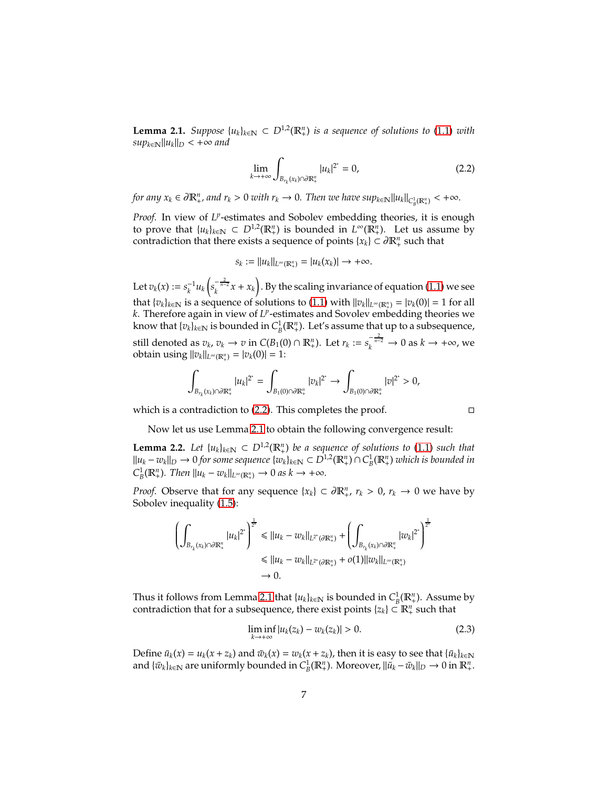<span id="page-6-1"></span>**Lemma 2.1.** *Suppose*  $\{u_k\}_{k \in \mathbb{N}}$  ⊂  $D^{1,2}(\mathbb{R}^n_+)$  *is a sequence of solutions to* [\(1.1\)](#page-0-0) *with*  $sup_{k \in \mathbb{N}} ||u_k||_D < +\infty$  and

<span id="page-6-0"></span>
$$
\lim_{k \to +\infty} \int_{B_{r_k}(x_k) \cap \partial \mathbb{R}^n_+} |u_k|^{2^*} = 0,
$$
\n(2.2)

*for any*  $x_k \in \partial \mathbb{R}^n_+$ , and  $r_k > 0$  with  $r_k \to 0$ . Then we have  $sup_{k \in \mathbb{N}} ||u_k||_{C^1_B(\mathbb{R}^n_+)} < +\infty$ .

Proof. In view of L<sup>p</sup>-estimates and Sobolev embedding theories, it is enough to prove that  $\{u_k\}_{k\in\mathbb{N}} \subset D^{1,2}(\mathbb{R}^n_+)$  is bounded in  $L^{\infty}(\mathbb{R}^n_+)$ . Let us assume by contradiction that there exists a sequence of points  $\{x_k\} \subset \partial \mathbb{R}^n_+$  such that

$$
s_k := ||u_k||_{L^{\infty}(\mathbb{R}^n_+)} = |u_k(x_k)| \to +\infty.
$$

Let  $v_k(x) := s_k^{-1} u_k \left( s_k^{-\frac{2}{n-2}} x + x_k \right)$ . By the scaling invariance of equation [\(1.1\)](#page-0-0) we see that  $\{v_k\}_{k\in\mathbb{N}}$  is a sequence of solutions to [\(1.1\)](#page-0-0) with  $||v_k||_{L^\infty(\mathbb{R}^n_+)} = |v_k(0)| = 1$  for all *k*. Therefore again in view of *L p* -estimates and Sovolev embedding theories we know that  $\{v_k\}_{k\in\mathbb{N}}$  is bounded in  $C^1_B(\mathbb{R}^n_+)$ . Let's assume that up to a subsequence, still denoted as  $v_k$ ,  $v_k \to v$  in  $C(B_1(0) \cap \mathbb{R}^n_+)$ . Let  $r_k := s_k^{-\frac{2}{n-2}} \to 0$  as  $k \to +\infty$ , we obtain using  $||v_k||_{L^{\infty}(\mathbb{R}^n_+)} = |v_k(0)| = 1$ :

$$
\int_{B_{r_k}(x_k)\cap \partial \mathbb{R}^n_+} |u_k|^{2^*} = \int_{B_1(0)\cap \partial \mathbb{R}^n_+} |v_k|^{2^*} \to \int_{B_1(0)\cap \partial \mathbb{R}^n_+} |v|^{2^*} > 0,
$$

which is a contradiction to [\(2.2\)](#page-6-0). This completes the proof.

Now let us use Lemma [2.1](#page-6-1) to obtain the following convergence result:

<span id="page-6-3"></span>**Lemma 2.2.** Let  $\{u_k\}_{k \in \mathbb{N}}$  ⊂  $D^{1,2}(\mathbb{R}^n_+)$  be a sequence of solutions to [\(1.1\)](#page-0-0) such that  $||u_k - w_k||_D$  → 0 *for some sequence*  $\{w_k\}_{k \in \mathbb{N}}$  ⊂  $D^{1,2}(\mathbb{R}^n_+) \cap C^1_B(\mathbb{R}^n_+)$  *which is bounded in*  $C_B^1(\mathbb{R}^n_+)$ *. Then*  $||u_k - w_k||_{L^{\infty}(\mathbb{R}^n_+)} \to 0$  *as k*  $\to +\infty$ *.* 

*Proof.* Observe that for any sequence  $\{x_k\} \subset \partial \mathbb{R}^n_+$ ,  $r_k > 0$ ,  $r_k \to 0$  we have by Sobolev inequality [\(1.5\)](#page-2-0):

$$
\begin{aligned} \left(\int_{B_{r_k}(x_k)\cap \partial \mathbb{R}^n_+} |u_k|^{2^*}\right)^{\frac{1}{2^*}} &\leq \|u_k-w_k\|_{L^{2^*}(\partial \mathbb{R}^n_+)} + \left(\int_{B_{r_k}(x_k)\cap \partial \mathbb{R}^n_+} |w_k|^{2^*}\right)^{\frac{1}{2^*}}\\ &\leq \|u_k-w_k\|_{L^{2^*}(\partial \mathbb{R}^n_+)} + o(1)\|w_k\|_{L^\infty(\mathbb{R}^n_+)}\\ &\to 0. \end{aligned}
$$

Thus it follows from Lemma [2.1](#page-6-1) that  $\{u_k\}_{k\in\mathbb{N}}$  is bounded in  $C^1_B(\mathbb{R}^n_+)$ . Assume by contradiction that for a subsequence, there exist points  $\{z_k\} \subset \mathbb{R}^n_+$  such that

<span id="page-6-2"></span>
$$
\liminf_{k \to +\infty} |u_k(z_k) - w_k(z_k)| > 0. \tag{2.3}
$$

Define  $\bar{u}_k(x) = u_k(x + z_k)$  and  $\bar{w}_k(x) = w_k(x + z_k)$ , then it is easy to see that  $\{\bar{u}_k\}_{k \in \mathbb{N}}$ and  $\{\bar{w}_k\}_{k\in\mathbb{N}}$  are uniformly bounded in  $C^1_B(\mathbb{R}^n_+)$ . Moreover,  $\|\bar{u}_k - \bar{w}_k\|_D \to 0$  in  $\mathbb{R}^n_+$ .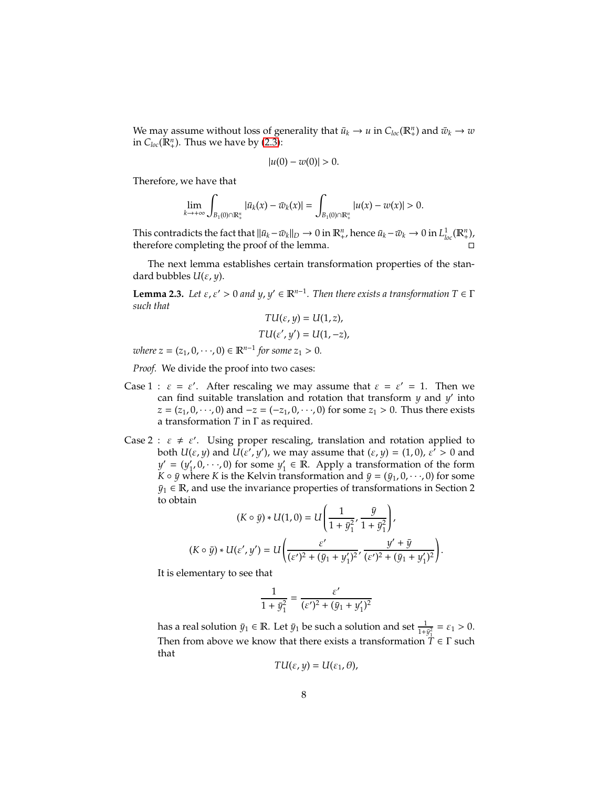We may assume without loss of generality that  $\bar{u}_k \to u$  in  $C_{loc}(\mathbb{R}^n_+)$  and  $\bar{w}_k \to w$ in  $C_{loc}(\mathbb{R}^n_+)$ . Thus we have by [\(2.3\)](#page-6-2):

$$
|u(0) - w(0)| > 0.
$$

Therefore, we have that

$$
\lim_{k\to+\infty}\int_{B_1(0)\cap\mathbb{R}^n_+}|\bar{u}_k(x)-\bar{w}_k(x)|=\int_{B_1(0)\cap\mathbb{R}^n_+}|u(x)-w(x)|>0.
$$

This contradicts the fact that  $\|\bar{u}_k - \bar{w}_k\|_D \to 0$  in  $\mathbb{R}^n_+$ , hence  $\bar{u}_k - \bar{w}_k \to 0$  in  $L^1_{loc}(\mathbb{R}^n_+)$ , therefore completing the proof of the lemma.

The next lemma establishes certain transformation properties of the standard bubbles *U*(ε, *y*).

<span id="page-7-0"></span>**Lemma 2.3.** *Let*  $\varepsilon$ ,  $\varepsilon' > 0$  *and*  $y$ ,  $y' \in \mathbb{R}^{n-1}$ *. Then there exists a transformation*  $T \in \Gamma$ *such that TU*(ε, *y*) = *U*(1, *z*),

$$
TU(\varepsilon, y) = U(1, z),
$$
  

$$
TU(\varepsilon', y') = U(1, -z),
$$

 $where z = (z_1, 0, \dots, 0) \in \mathbb{R}^{n-1}$  for some  $z_1 > 0$ .

*Proof.* We divide the proof into two cases:

- Case 1 :  $\varepsilon = \varepsilon'$ . After rescaling we may assume that  $\varepsilon = \varepsilon' = 1$ . Then we can find suitable translation and rotation that transform *y* and *y* ′ into *z* = (*z*<sub>1</sub>, 0, · · ·, 0) and −*z* = (−*z*<sub>1</sub>, 0, · · ·, 0) for some *z*<sub>1</sub> > 0. Thus there exists a transformation *T* in Γ as required.
- Case 2 :  $\varepsilon \neq \varepsilon'$ . Using proper rescaling, translation and rotation applied to both  $U(\varepsilon, y)$  and  $U(\varepsilon', y')$ , we may assume that  $(\varepsilon, y) = (1, 0)$ ,  $\varepsilon' > 0$  and  $y' = (y'_1, 0, \dots, 0)$  for some  $y'_1 \in \mathbb{R}$ . Apply a transformation of the form *K*  $\circ$  *y* where *K* is the Kelvin transformation and  $\bar{y} = (\bar{y}_1, 0, \dots, 0)$  for some  $\bar{y}_1 \in \mathbb{R}$ , and use the invariance properties of transformations in Section 2 to obtain

$$
(K \circ \bar{y}) * U(1,0) = U\left(\frac{1}{1 + \bar{y}_1^2}, \frac{\bar{y}}{1 + \bar{y}_1^2}\right),
$$
  

$$
(K \circ \bar{y}) * U(\varepsilon', y') = U\left(\frac{\varepsilon'}{(\varepsilon')^2 + (\bar{y}_1 + y_1')^2}, \frac{y' + \bar{y}}{(\varepsilon')^2 + (\bar{y}_1 + y_1')^2}\right).
$$

It is elementary to see that

$$
\frac{1}{1+\bar{y}_1^2} = \frac{\varepsilon'}{(\varepsilon')^2 + (\bar{y}_1 + y_1')^2}
$$

has a real solution  $\bar{y}_1 \in \mathbb{R}$ . Let  $\bar{y}_1$  be such a solution and set  $\frac{1}{1+\bar{y}_1^2} = \varepsilon_1 > 0$ . Then from above we know that there exists a transformation  $T \in \Gamma$  such that

$$
TU(\varepsilon,y)=U(\varepsilon_1,\theta),
$$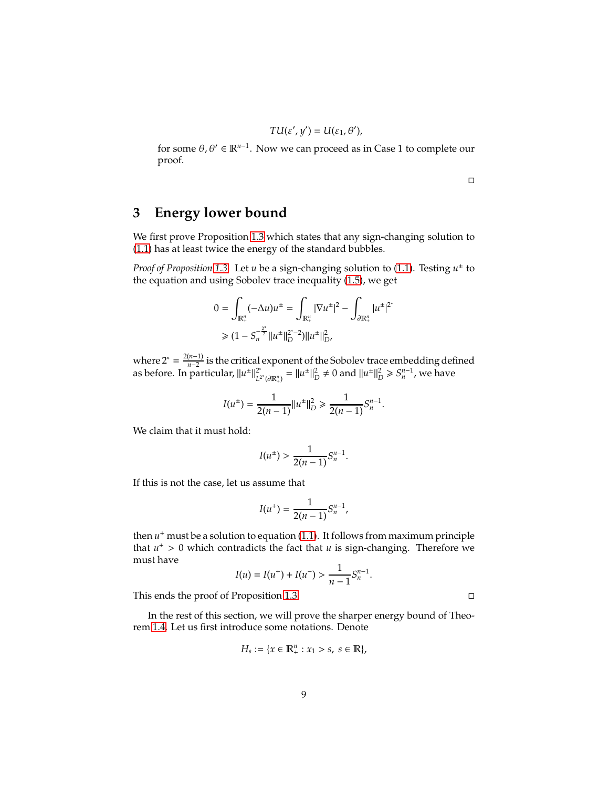$$
TU(\varepsilon',y')=U(\varepsilon_1,\theta'),
$$

for some  $\theta$ ,  $\theta' \in \mathbb{R}^{n-1}$ . Now we can proceed as in Case 1 to complete our proof.

 $\Box$ 

## **3 Energy lower bound**

We first prove Proposition [1.3](#page-3-1) which states that any sign-changing solution to [\(1.1\)](#page-0-0) has at least twice the energy of the standard bubbles.

*Proof of Proposition [1.3.](#page-3-1)* Let *u* be a sign-changing solution to [\(1.1\)](#page-0-0). Testing *u* ± to the equation and using Sobolev trace inequality [\(1.5\)](#page-2-0), we get

$$
0 = \int_{\mathbb{R}_+^n} (-\Delta u) u^{\pm} = \int_{\mathbb{R}_+^n} |\nabla u^{\pm}|^2 - \int_{\partial \mathbb{R}_+^n} |u^{\pm}|^{2^*}
$$
  
\n
$$
\geq (1 - S_n^{-\frac{2^*}{2}} ||u^{\pm}||_D^{2^*-2}) ||u^{\pm}||_{D^{\prime}}^2
$$

where  $2^* = \frac{2(n-1)}{n-2}$  $\frac{n-1}{n-2}$  is the critical exponent of the Sobolev trace embedding defined as before. In particular,  $||u^{\pm}||_{L^2}^{2^*}$  $L^{2^*}(\partial \mathbb{R}^n_+) = ||u^{\pm}||^2_D \neq 0$  and  $||u^{\pm}||^2_D \geq S_n^{n-1}$ , we have

$$
I(u^{\pm}) = \frac{1}{2(n-1)} ||u^{\pm}||_D^2 \ge \frac{1}{2(n-1)} S_n^{n-1}.
$$

We claim that it must hold:

$$
I(u^{\pm}) > \frac{1}{2(n-1)} S_n^{n-1}.
$$

If this is not the case, let us assume that

$$
I(u^+) = \frac{1}{2(n-1)} S_n^{n-1},
$$

then *u* <sup>+</sup> must be a solution to equation [\(1.1\)](#page-0-0). It follows from maximum principle that  $u^+ > 0$  which contradicts the fact that  $u$  is sign-changing. Therefore we must have

$$
I(u) = I(u^{+}) + I(u^{-}) > \frac{1}{n-1} S_{n}^{n-1}.
$$

This ends the proof of Proposition [1.3.](#page-3-1)

In the rest of this section, we will prove the sharper energy bound of Theorem [1.4.](#page-3-2) Let us first introduce some notations. Denote

$$
H_s := \{ x \in \mathbb{R}_+^n : x_1 > s, \ s \in \mathbb{R} \},
$$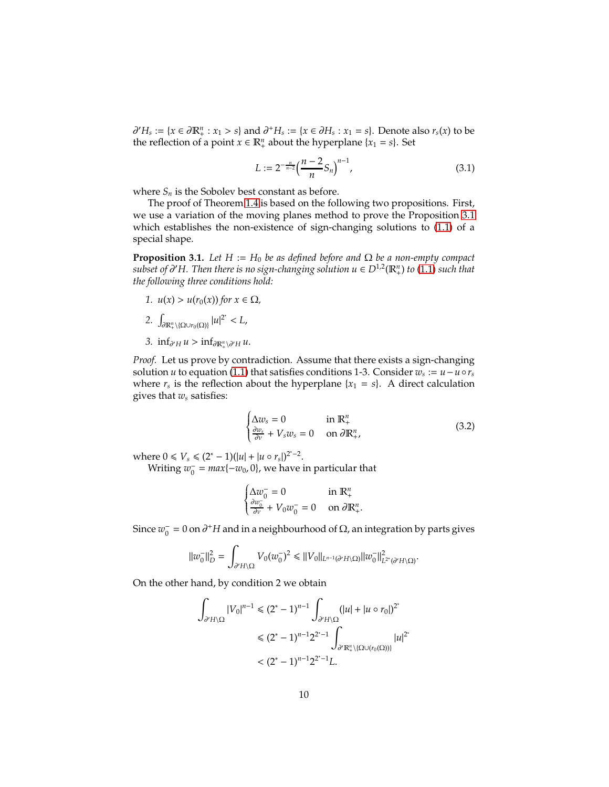$\partial' H_s := \{x \in \partial \mathbb{R}^n_+ : x_1 > s\}$  and  $\partial^+ H_s := \{x \in \partial H_s : x_1 = s\}$ . Denote also  $r_s(x)$  to be the reflection of a point  $x \in \mathbb{R}^n_+$  about the hyperplane  $\{x_1 = s\}$ . Set

<span id="page-9-1"></span>
$$
L := 2^{-\frac{n}{n-2}} \left(\frac{n-2}{n} S_n\right)^{n-1},\tag{3.1}
$$

where  $S_n$  is the Sobolev best constant as before.

The proof of Theorem [1.4](#page-3-2) is based on the following two propositions. First, we use a variation of the moving planes method to prove the Proposition [3.1](#page-9-0) which establishes the non-existence of sign-changing solutions to [\(1.1\)](#page-0-0) of a special shape.

<span id="page-9-0"></span>**Proposition 3.1.** *Let*  $H := H_0$  *be as defined before and*  $\Omega$  *be a non-empty compact subset of* ∂ ′*H. Then there is no sign-changing solution u* ∈ *D*1,<sup>2</sup> (R*<sup>n</sup>* + ) *to* [\(1.1\)](#page-0-0) *such that the following three conditions hold:*

- *1. u*(*x*) > *u*(*r*<sub>0</sub>(*x*)) *for x* ∈  $\Omega$ *,* 2.  $\int_{\partial \mathbb{R}^n_+\setminus {\{\Omega \cup r_0(\Omega)\}}} |u|^{2^*} < L$ ,
- *3.*  $\inf_{\partial' H} u > \inf_{\partial \mathbb{R}^n_+ \setminus \partial' H} u$ .

*Proof.* Let us prove by contradiction. Assume that there exists a sign-changing solution *u* to equation [\(1.1\)](#page-0-0) that satisfies conditions 1-3. Consider  $w_s := u - u \circ r_s$ where  $r_s$  is the reflection about the hyperplane  $\{x_1 = s\}$ . A direct calculation gives that *w<sup>s</sup>* satisfies:

$$
\begin{cases} \Delta w_s = 0 & \text{in } \mathbb{R}^n_+ \\ \frac{\partial w_s}{\partial v} + V_s w_s = 0 & \text{on } \partial \mathbb{R}^n_+, \end{cases}
$$
 (3.2)

where  $0 \le V_s \le (2^* - 1)(|u| + |u \circ r_s|)^{2^* - 2}$ .

Writing  $w_0^- = \max\{-w_0, 0\}$ , we have in particular that

$$
\begin{cases} \Delta w_0^- = 0 & \text{in } \mathbb{R}_+^n\\ \frac{\partial w_0^-}{\partial v} + V_0 w_0^- = 0 & \text{on } \partial \mathbb{R}_+^n. \end{cases}
$$

Since  $w_0^-$  = 0 on  $\partial^+ H$  and in a neighbourhood of Ω, an integration by parts gives

$$
||w_0^-||_D^2 = \int_{\partial' H \backslash \Omega} V_0(w_0^-)^2 \le ||V_0||_{L^{n-1}(\partial' H \backslash \Omega)} ||w_0^-||_{L^{2^*}(\partial' H \backslash \Omega)}^2.
$$

On the other hand, by condition 2 we obtain

$$
\int_{\partial' H \backslash \Omega} |V_0|^{n-1} \le (2^* - 1)^{n-1} \int_{\partial' H \backslash \Omega} (|u| + |u \circ r_0|)^{2^*}
$$
  

$$
\le (2^* - 1)^{n-1} 2^{2^* - 1} \int_{\partial' \mathbb{R}_+^n \backslash \{\Omega \cup (r_0(\Omega))\}} |u|^{2^*}
$$
  

$$
< (2^* - 1)^{n-1} 2^{2^* - 1} L.
$$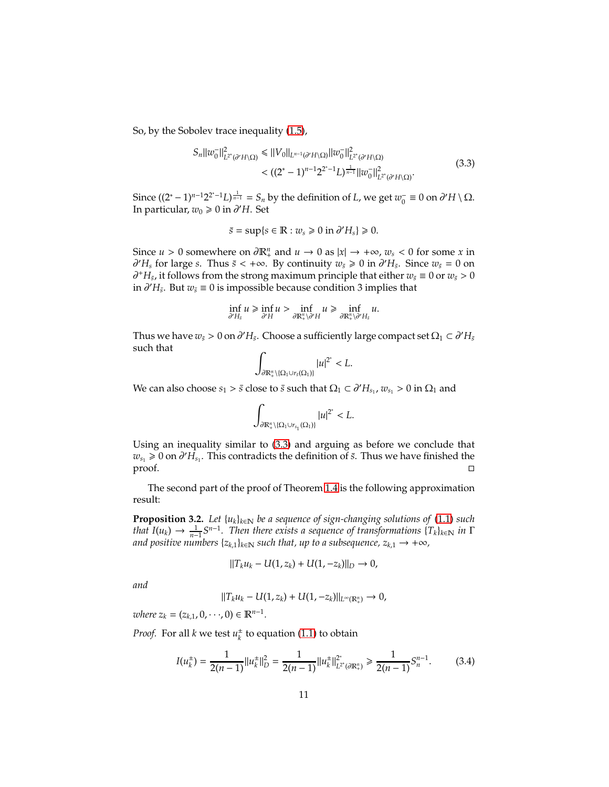So, by the Sobolev trace inequality [\(1.5\)](#page-2-0),

<span id="page-10-0"></span>
$$
S_n||w_0^-||_{L^{2^*}(\partial' H \setminus \Omega)}^2 \le ||V_0||_{L^{n-1}(\partial' H \setminus \Omega)}||w_0^-||_{L^{2^*}(\partial' H \setminus \Omega)}^2
$$
  

$$
<((2^*-1)^{n-1}2^{2^*-1}L)^{\frac{1}{n-1}}||w_0^-||_{L^{2^*}(\partial' H \setminus \Omega)}^2.
$$
(3.3)

Since  $((2^* - 1)^{n-1}2^{2^* - 1}L)^{\frac{1}{n-1}} = S_n$  by the definition of *L*, we get  $w_0^- ≡ 0$  on  $\partial' H \setminus \Omega$ . In particular, *w*<sup>0</sup> > 0 in ∂ ′*H*. Set

$$
\bar{s} = \sup\{s \in \mathbb{R} : w_s \ge 0 \text{ in } \partial' H_s\} \ge 0.
$$

Since *u* > 0 somewhere on  $\partial \mathbb{R}^n_+$  and  $u \to 0$  as  $|x| \to +\infty$ ,  $w_s < 0$  for some *x* in  $∂'H<sub>s</sub>$  for large *s*. Thus  $\bar{s}$  < +∞. By continuity  $w_{\bar{s}} \ge 0$  in  $∂'H_{\bar{s}}$ . Since  $w_{\bar{s}} = 0$  on  $\partial^+ H_{\bar{s}}$ , it follows from the strong maximum principle that either  $w_{\bar{s}} \equiv 0$  or  $w_{\bar{s}} > 0$ in  $\partial' H_{\bar{s}}$ . But  $w_{\bar{s}} \equiv 0$  is impossible because condition 3 implies that

$$
\inf_{\partial' H_s} u \geq \inf_{\partial' H} u > \inf_{\partial \mathbb{R}^n_+ \setminus \partial' H} u \geq \inf_{\partial \mathbb{R}^n_+ \setminus \partial' H_s} u.
$$

Thus we have  $w_{\bar{s}} > 0$  on  $\partial' H_{\bar{s}}$ . Choose a sufficiently large compact set  $\Omega_1 \subset \partial' H_{\bar{s}}$ such that

$$
\int_{\partial \mathbb{R}^n_+\setminus \{\Omega_1\cup r_{\bar{s}}(\Omega_1)\}} |u|^{2^*}
$$

We can also choose  $s_1 > \bar{s}$  close to  $\bar{s}$  such that  $\Omega_1 \subset \partial' H_{s_1}$ ,  $w_{s_1} > 0$  in  $\Omega_1$  and

$$
\int_{\partial \mathbb{R}^n_+\setminus \{\Omega_1\cup r_{s_1}(\Omega_1)\}} |u|^{2^*}
$$

Using an inequality similar to [\(3.3\)](#page-10-0) and arguing as before we conclude that  $w_{s_1} \ge 0$  on  $\partial' H_{s_1}$ . This contradicts the definition of *s*̃. Thus we have finished the  $\Box$ proof.

The second part of the proof of Theorem [1.4](#page-3-2) is the following approximation result:

<span id="page-10-2"></span>**Proposition 3.2.** *Let* {*uk*}*k*∈<sup>N</sup> *be a sequence of sign-changing solutions of* [\(1.1\)](#page-0-0) *such that*  $I(u_k) \to \frac{1}{n-1} S^{n-1}$ . Then there exists a sequence of transformations  $\{T_k\}_{k\in\mathbb{N}}$  *in*  $\Gamma$ *and positive numbers*  $\{z_{k,1}\}_{k\in\mathbb{N}}$  *such that, up to a subsequence,*  $z_{k,1} \rightarrow +\infty$ *,* 

$$
||T_k u_k - U(1, z_k) + U(1, -z_k)||_D \to 0,
$$

*and*

$$
||T_ku_k - U(1, z_k) + U(1, -z_k)||_{L^{\infty}(\mathbb{R}^n_+)} \to 0,
$$

 $where z_k = (z_{k,1}, 0, \dots, 0) \in \mathbb{R}^{n-1}.$ 

*Proof.* For all *k* we test  $u_k^{\pm}$  to equation [\(1.1\)](#page-0-0) to obtain

<span id="page-10-1"></span>
$$
I(u_k^{\pm}) = \frac{1}{2(n-1)} ||u_k^{\pm}||_D^2 = \frac{1}{2(n-1)} ||u_k^{\pm}||_{L^{2^*}(\partial \mathbb{R}_+^n)}^2 \ge \frac{1}{2(n-1)} S_n^{n-1}.
$$
 (3.4)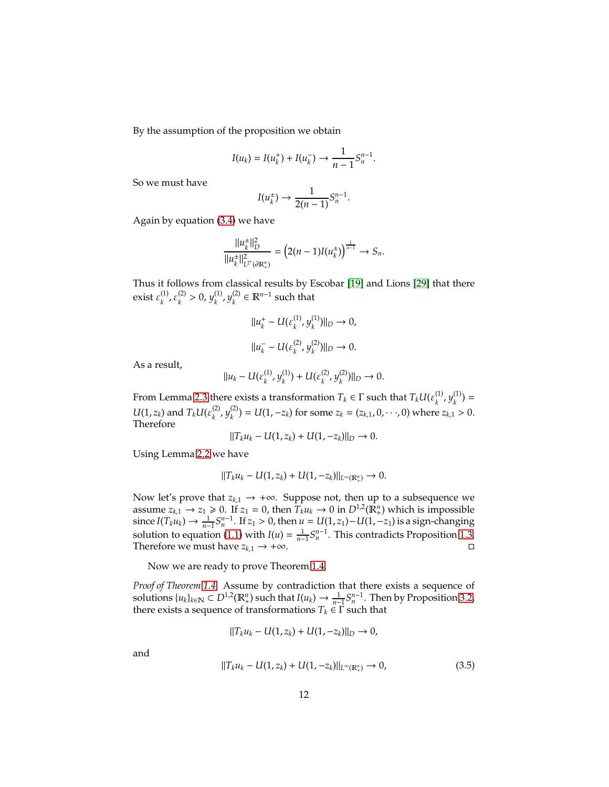By the assumption of the proposition we obtain

$$
I(u_k) = I(u_k^+) + I(u_k^-) \to \frac{1}{n-1} S_n^{n-1}.
$$

So we must have

$$
I(u_k^{\pm}) \rightarrow \frac{1}{2(n-1)} S_n^{n-1}.
$$

Again by equation [\(3.4\)](#page-10-1) we have

$$
\frac{||u_k^{\pm}||_D^2}{||u_k^{\pm}||_{L^{2^*}(\partial \mathbb{R}^n_+)}^2} = \left(2(n-1)I(u_k^{\pm})\right)^{\frac{1}{n-1}} \to S_n.
$$

Thus it follows from classical results by Escobar [\[19\]](#page-13-12) and Lions [\[29\]](#page-14-14) that there exist  $\varepsilon_k^{(1)}$  $k^{(1)}$ ,  $\varepsilon_k^{(2)}$  $y_k^{(2)} > 0, y_k^{(1)}$  $\frac{(1)}{k}$ ,  $y_k^{(2)}$  $\mathbf{k}^{(2)}$  ∈  $\mathbb{R}^{n-1}$  such that

$$
||u_k^+ - U(\varepsilon_k^{(1)}, y_k^{(1)})||_D \to 0,
$$
  

$$
||u_k^- - U(\varepsilon_k^{(2)}, y_k^{(2)})||_D \to 0.
$$

As a result,

$$
||u_k - U(\varepsilon_k^{(1)}, y_k^{(1)}) + U(\varepsilon_k^{(2)}, y_k^{(2)})||_D \to 0.
$$

From Lemma [2.3](#page-7-0) there exists a transformation  $T_k \in \Gamma$  such that  $T_k U(\varepsilon_k^{(1)})$  $\mathcal{y}_k^{(1)}$ ,  $\mathcal{Y}_k^{(1)}$  $\binom{11}{k}$  =  $U(1, z_k)$  and  $T_k U(\varepsilon_k^{(2)})$ *k* , *y* (2)  $\chi_k^{(2)}$ ) =  $U(1, -z_k)$  for some  $z_k = (z_{k,1}, 0, \dots, 0)$  where  $z_{k,1} > 0$ . Therefore

$$
||T_k u_k - U(1, z_k) + U(1, -z_k)||_D \to 0.
$$

Using Lemma [2.2](#page-6-3) we have

$$
||T_k u_k - U(1, z_k) + U(1, -z_k)||_{L^{\infty}(\mathbb{R}^n_+)} \to 0.
$$

Now let's prove that  $z_{k,1} \rightarrow +\infty$ . Suppose not, then up to a subsequence we assume  $z_{k,1} \to z_1 \ge 0$ . If  $z_1 = 0$ , then  $T_k u_k \to 0$  in  $D^{1,2}(\mathbb{R}^n_+)$  which is impossible since *I*(*T<sub>k</sub>u<sub>k</sub>*) →  $\frac{1}{n-1}S_n^{n-1}$ . If *z*<sub>1</sub> > 0, then *u* = *U*(1, *z*<sub>1</sub>)−*U*(1, −*z*<sub>1</sub>) is a sign-changing solution to equation [\(1.1\)](#page-0-0) with  $I(u) = \frac{1}{n-1} S_n^{n-1}$ . This contradicts Proposition [1.3.](#page-3-1) Therefore we must have  $z_{k,1} \rightarrow +\infty$ .

Now we are ready to prove Theorem [1.4.](#page-3-2)

*Proof of Theorem [1.4.](#page-3-2)* Assume by contradiction that there exists a sequence of solutions  $\{u_k\}_{k\in\mathbb{N}} \subset D^{1,2}(\mathbb{R}^n_+)$  such that  $I(u_k) \to \frac{1}{n-1}S_n^{n-1}$ . Then by Proposition [3.2,](#page-10-2) there exists a sequence of transformations  $T_k \in \Gamma$  such that

$$
||T_k u_k - U(1, z_k) + U(1, -z_k)||_D \to 0,
$$

and

<span id="page-11-0"></span>
$$
||T_k u_k - U(1, z_k) + U(1, -z_k)||_{L^\infty(\mathbb{R}^n_+)} \to 0,
$$
\n(3.5)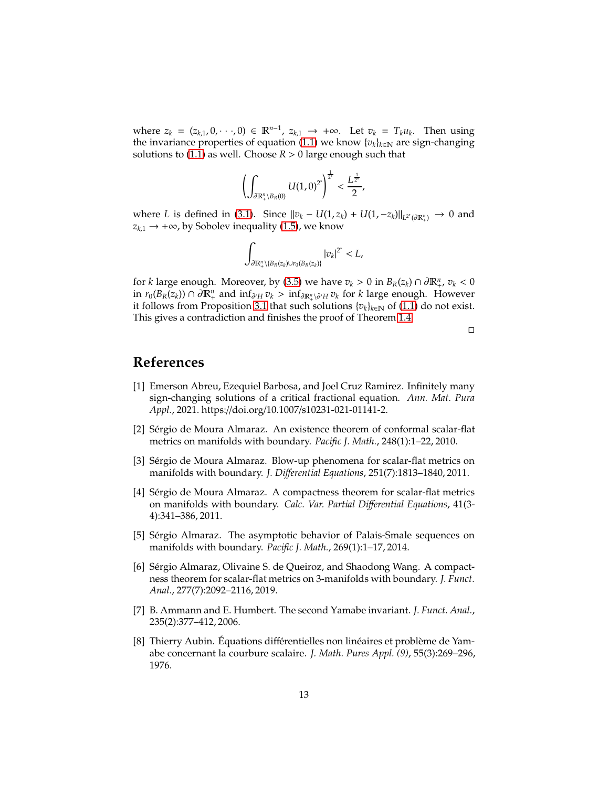where  $z_k = (z_{k,1}, 0, \dots, 0) \in \mathbb{R}^{n-1}$ ,  $z_{k,1} \to +\infty$ . Let  $v_k = T_k u_k$ . Then using the invariance properties of equation [\(1.1\)](#page-0-0) we know  $\{v_k\}_{k\in\mathbb{N}}$  are sign-changing solutions to  $(1.1)$  as well. Choose  $R > 0$  large enough such that

$$
\left(\int_{\partial \mathbb{R}^n_+\setminus B_R(0)} U(1,0)^{2^*}\right)^{\frac{1}{2^*}} < \frac{L^{\frac{1}{2^*}}}{2},
$$

where *L* is defined in [\(3.1\)](#page-9-1). Since  $||v_k - U(1, z_k) + U(1, -z_k)||_{L^2(\partial \mathbb{R}^n_+)}$  → 0 and  $z_{k,1}$  → +∞, by Sobolev inequality [\(1.5\)](#page-2-0), we know

$$
\int_{\partial \mathbb{R}^n_+\setminus \{B_R(z_k)\cup r_0(B_R(z_k)\}} |v_k|^{2^*} < L,
$$

for *k* large enough. Moreover, by [\(3.5\)](#page-11-0) we have  $v_k > 0$  in  $B_R(z_k) \cap \partial \mathbb{R}^n_+$ ,  $v_k < 0$ in *r*<sub>0</sub>( $B_R(z_k)$ ) ∩ ∂ $\mathbb{R}^n_+$  and  $\inf_{\partial' H} v_k > \inf_{\partial \mathbb{R}^n_+\setminus \partial' H} v_k$  for *k* large enough. However it follows from Proposition [3.1](#page-9-0) that such solutions  $\{v_k\}_{k∈\mathbb{N}}$  of [\(1.1\)](#page-0-0) do not exist. This gives a contradiction and finishes the proof of Theorem [1.4.](#page-3-2)

 $\Box$ 

#### <span id="page-12-6"></span>**References**

- [1] Emerson Abreu, Ezequiel Barbosa, and Joel Cruz Ramirez. Infinitely many sign-changing solutions of a critical fractional equation. *Ann. Mat. Pura Appl.*, 2021. https://doi.org/10.1007/s10231-021-01141-2.
- <span id="page-12-2"></span>[2] Sérgio de Moura Almaraz. An existence theorem of conformal scalar-flat metrics on manifolds with boundary. *Pacific J. Math.*, 248(1):1–22, 2010.
- <span id="page-12-3"></span>[3] Sérgio de Moura Almaraz. Blow-up phenomena for scalar-flat metrics on manifolds with boundary. *J. Di*ff*erential Equations*, 251(7):1813–1840, 2011.
- <span id="page-12-4"></span>[4] Sérgio de Moura Almaraz. A compactness theorem for scalar-flat metrics on manifolds with boundary. *Calc. Var. Partial Di*ff*erential Equations*, 41(3- 4):341–386, 2011.
- <span id="page-12-7"></span>[5] Sérgio Almaraz. The asymptotic behavior of Palais-Smale sequences on manifolds with boundary. *Pacific J. Math.*, 269(1):1–17, 2014.
- <span id="page-12-5"></span>[6] Sérgio Almaraz, Olivaine S. de Queiroz, and Shaodong Wang. A compactness theorem for scalar-flat metrics on 3-manifolds with boundary. *J. Funct. Anal.*, 277(7):2092–2116, 2019.
- <span id="page-12-1"></span>[7] B. Ammann and E. Humbert. The second Yamabe invariant. *J. Funct. Anal.*, 235(2):377–412, 2006.
- <span id="page-12-0"></span>[8] Thierry Aubin. Équations différentielles non linéaires et problème de Yamabe concernant la courbure scalaire. *J. Math. Pures Appl. (9)*, 55(3):269–296, 1976.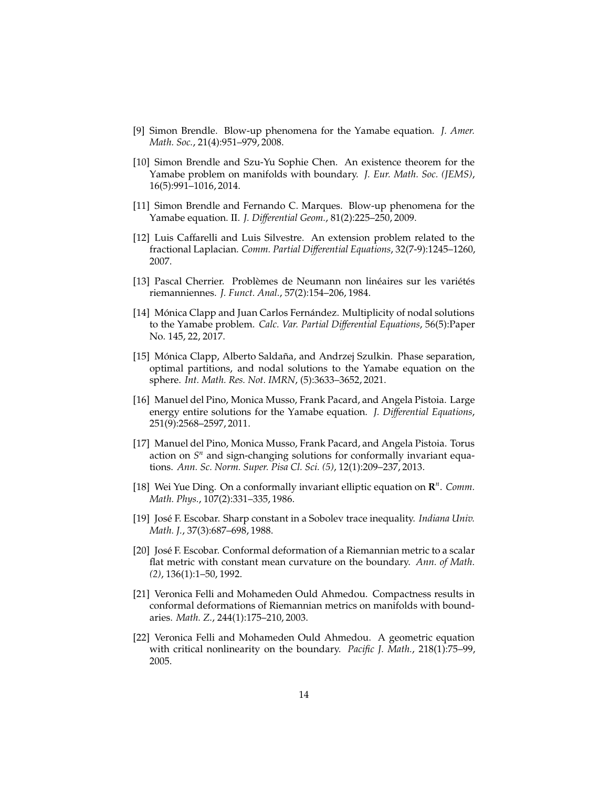- <span id="page-13-9"></span><span id="page-13-0"></span>[9] Simon Brendle. Blow-up phenomena for the Yamabe equation. *J. Amer. Math. Soc.*, 21(4):951–979, 2008.
- [10] Simon Brendle and Szu-Yu Sophie Chen. An existence theorem for the Yamabe problem on manifolds with boundary. *J. Eur. Math. Soc. (JEMS)*, 16(5):991–1016, 2014.
- <span id="page-13-1"></span>[11] Simon Brendle and Fernando C. Marques. Blow-up phenomena for the Yamabe equation. II. *J. Di*ff*erential Geom.*, 81(2):225–250, 2009.
- <span id="page-13-13"></span>[12] Luis Caffarelli and Luis Silvestre. An extension problem related to the fractional Laplacian. *Comm. Partial Di*ff*erential Equations*, 32(7-9):1245–1260, 2007.
- <span id="page-13-8"></span><span id="page-13-3"></span>[13] Pascal Cherrier. Problèmes de Neumann non linéaires sur les variétés riemanniennes. *J. Funct. Anal.*, 57(2):154–206, 1984.
- [14] Mónica Clapp and Juan Carlos Fernández. Multiplicity of nodal solutions to the Yamabe problem. *Calc. Var. Partial Di*ff*erential Equations*, 56(5):Paper No. 145, 22, 2017.
- <span id="page-13-4"></span>[15] Mónica Clapp, Alberto Saldaña, and Andrzej Szulkin. Phase separation, optimal partitions, and nodal solutions to the Yamabe equation on the sphere. *Int. Math. Res. Not. IMRN*, (5):3633–3652, 2021.
- <span id="page-13-5"></span>[16] Manuel del Pino, Monica Musso, Frank Pacard, and Angela Pistoia. Large energy entire solutions for the Yamabe equation. *J. Di*ff*erential Equations*, 251(9):2568–2597, 2011.
- <span id="page-13-6"></span>[17] Manuel del Pino, Monica Musso, Frank Pacard, and Angela Pistoia. Torus action on  $S<sup>n</sup>$  and sign-changing solutions for conformally invariant equations. *Ann. Sc. Norm. Super. Pisa Cl. Sci. (5)*, 12(1):209–237, 2013.
- <span id="page-13-2"></span>[18] Wei Yue Ding. On a conformally invariant elliptic equation on  $\mathbb{R}^n$ . *Comm. Math. Phys.*, 107(2):331–335, 1986.
- <span id="page-13-12"></span>[19] José F. Escobar. Sharp constant in a Sobolev trace inequality. *Indiana Univ. Math. J.*, 37(3):687–698, 1988.
- <span id="page-13-7"></span>[20] José F. Escobar. Conformal deformation of a Riemannian metric to a scalar flat metric with constant mean curvature on the boundary. *Ann. of Math. (2)*, 136(1):1–50, 1992.
- <span id="page-13-10"></span>[21] Veronica Felli and Mohameden Ould Ahmedou. Compactness results in conformal deformations of Riemannian metrics on manifolds with boundaries. *Math. Z.*, 244(1):175–210, 2003.
- <span id="page-13-11"></span>[22] Veronica Felli and Mohameden Ould Ahmedou. A geometric equation with critical nonlinearity on the boundary. *Pacific J. Math.*, 218(1):75–99, 2005.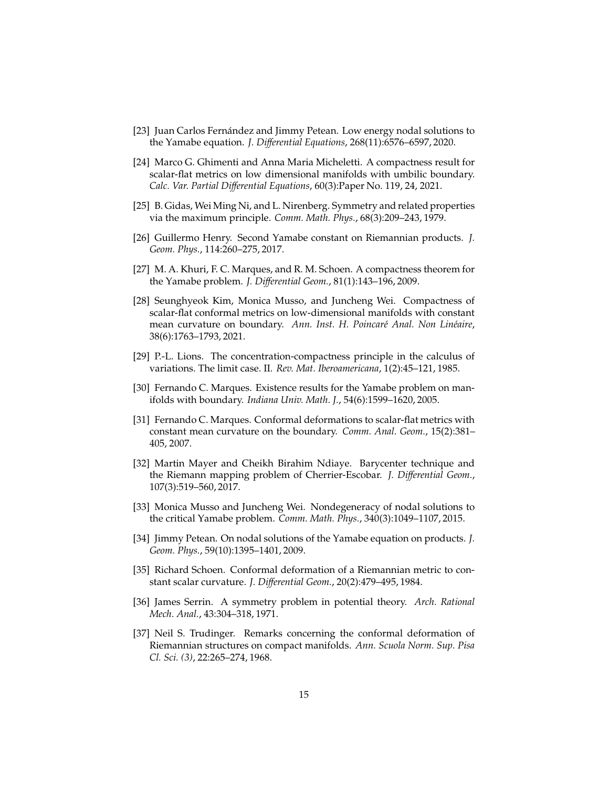- <span id="page-14-3"></span>[23] Juan Carlos Fernández and Jimmy Petean. Low energy nodal solutions to the Yamabe equation. *J. Di*ff*erential Equations*, 268(11):6576–6597, 2020.
- <span id="page-14-10"></span>[24] Marco G. Ghimenti and Anna Maria Micheletti. A compactness result for scalar-flat metrics on low dimensional manifolds with umbilic boundary. *Calc. Var. Partial Di*ff*erential Equations*, 60(3):Paper No. 119, 24, 2021.
- <span id="page-14-13"></span><span id="page-14-4"></span>[25] B. Gidas, Wei Ming Ni, and L. Nirenberg. Symmetry and related properties via the maximum principle. *Comm. Math. Phys.*, 68(3):209–243, 1979.
- [26] Guillermo Henry. Second Yamabe constant on Riemannian products. *J. Geom. Phys.*, 114:260–275, 2017.
- <span id="page-14-2"></span>[27] M. A. Khuri, F. C. Marques, and R. M. Schoen. A compactness theorem for the Yamabe problem. *J. Di*ff*erential Geom.*, 81(1):143–196, 2009.
- <span id="page-14-11"></span>[28] Seunghyeok Kim, Monica Musso, and Juncheng Wei. Compactness of scalar-flat conformal metrics on low-dimensional manifolds with constant mean curvature on boundary. Ann. Inst. H. Poincaré Anal. Non Linéaire, 38(6):1763–1793, 2021.
- <span id="page-14-14"></span><span id="page-14-7"></span>[29] P.-L. Lions. The concentration-compactness principle in the calculus of variations. The limit case. II. *Rev. Mat. Iberoamericana*, 1(2):45–121, 1985.
- [30] Fernando C. Marques. Existence results for the Yamabe problem on manifolds with boundary. *Indiana Univ. Math. J.*, 54(6):1599–1620, 2005.
- <span id="page-14-8"></span>[31] Fernando C. Marques. Conformal deformations to scalar-flat metrics with constant mean curvature on the boundary. *Comm. Anal. Geom.*, 15(2):381– 405, 2007.
- <span id="page-14-9"></span>[32] Martin Mayer and Cheikh Birahim Ndiaye. Barycenter technique and the Riemann mapping problem of Cherrier-Escobar. *J. Di*ff*erential Geom.*, 107(3):519–560, 2017.
- <span id="page-14-5"></span>[33] Monica Musso and Juncheng Wei. Nondegeneracy of nodal solutions to the critical Yamabe problem. *Comm. Math. Phys.*, 340(3):1049–1107, 2015.
- <span id="page-14-6"></span>[34] Jimmy Petean. On nodal solutions of the Yamabe equation on products. *J. Geom. Phys.*, 59(10):1395–1401, 2009.
- <span id="page-14-0"></span>[35] Richard Schoen. Conformal deformation of a Riemannian metric to constant scalar curvature. *J. Di*ff*erential Geom.*, 20(2):479–495, 1984.
- <span id="page-14-12"></span>[36] James Serrin. A symmetry problem in potential theory. *Arch. Rational Mech. Anal.*, 43:304–318, 1971.
- <span id="page-14-1"></span>[37] Neil S. Trudinger. Remarks concerning the conformal deformation of Riemannian structures on compact manifolds. *Ann. Scuola Norm. Sup. Pisa Cl. Sci. (3)*, 22:265–274, 1968.